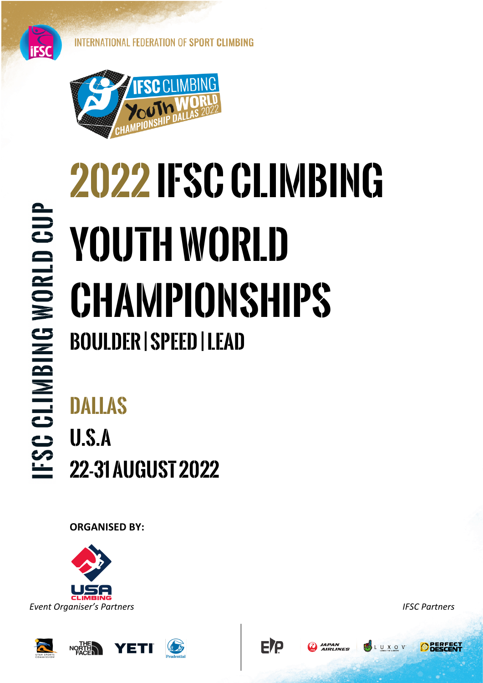



# **FSC CLIMBING WORLD CUP**

## **2022 IFSC CLIMBING Youth WORLD Championships Boulder | speed | Lead**

ETP

## **dallas U.s.a 22-31 august 2022**

**ORGANISED BY:** 



L U X O V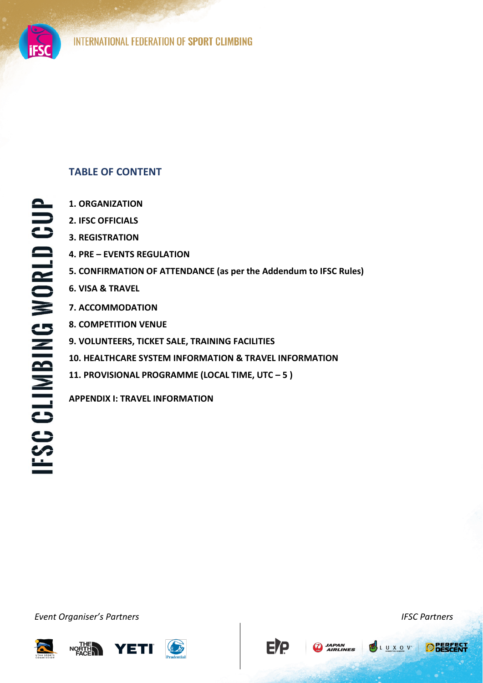

## **FSC CLIMBING WORLD CUP**

### **TABLE OF CONTENT**

- **1. ORGANIZATION**
- **2. IFSC OFFICIALS**
- **3. REGISTRATION**
- **4. PRE EVENTS REGULATION**
- **5. CONFIRMATION OF ATTENDANCE (as per the Addendum to IFSC Rules)**
- **6. VISA & TRAVEL**
- **7. ACCOMMODATION**
- **8. COMPETITION VENUE**
- **9. VOLUNTEERS, TICKET SALE, TRAINING FACILITIES**
- **10. HEALTHCARE SYSTEM INFORMATION & TRAVEL INFORMATION**
- **11. PROVISIONAL PROGRAMME (LOCAL TIME, UTC ʹ 5 )**

**APPENDIX I: TRAVEL INFORMATION**

*ǀĞŶƚKƌŐĂŶŝƐĞƌ͛ƐWĂƌƚŶĞƌƐ IFSC Partners*









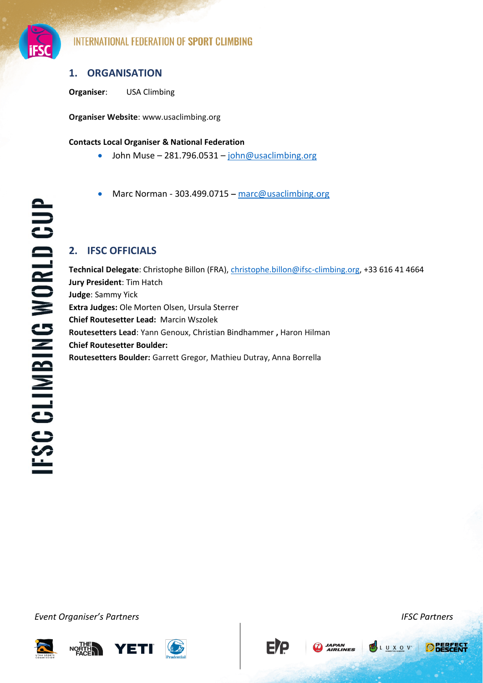

### **1. ORGANISATION**

**Organiser**: USA Climbing

**Organiser Website**: www.usaclimbing.org

### **Contacts Local Organiser & National Federation**

- John Muse  $-281.796.0531 John@usaclimbing.org$
- Marc Norman 303.499.0715  $-$  [marc@usaclimbing.org](mailto:marc@usaclimbing.org)

### **2. IFSC OFFICIALS**

**Technical Delegate**: Christophe Billon (FRA)[, christophe.billon@ifsc-climbing.org,](mailto:christophe.billon@ifsc-climbing.org) +33 616 41 4664 **Jury President**: Tim Hatch **Judge**: Sammy Yick **Extra Judges:** Ole Morten Olsen, Ursula Sterrer **Chief Routesetter Lead:** Marcin Wszolek **Routesetters Lead**: Yann Genoux, Christian Bindhammer **,** Haron Hilman **Chief Routesetter Boulder: Routesetters Boulder:** Garrett Gregor, Mathieu Dutray, Anna Borrella

*ǀĞŶƚKƌŐĂŶŝƐĞƌ͛ƐWĂƌƚŶĞƌƐ IFSC Partners*





**EP** 

**CO** JAPAN<br>AIRLINES

**ODESCE**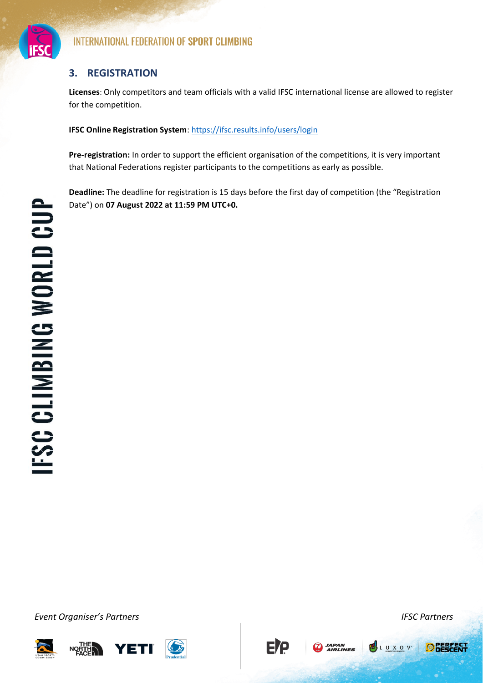

### **3. REGISTRATION**

**Licenses**: Only competitors and team officials with a valid IFSC international license are allowed to register for the competition.

**IFSC Online Registration System**:<https://ifsc.results.info/users/login>

**Pre-registration:** In order to support the efficient organisation of the competitions, it is very important that National Federations register participants to the competitions as early as possible.

Deadline: The deadline for registration is 15 days before the first day of competition (the "Registration Date") on **07 August 2022 at 11:59 PM UTC+0.** 

*ǀĞŶƚKƌŐĂŶŝƐĞƌ͛ƐWĂƌƚŶĞƌƐ IFSC Partners*

**YETI** NORTH



**EP** 

**A**<br>AIRLINES



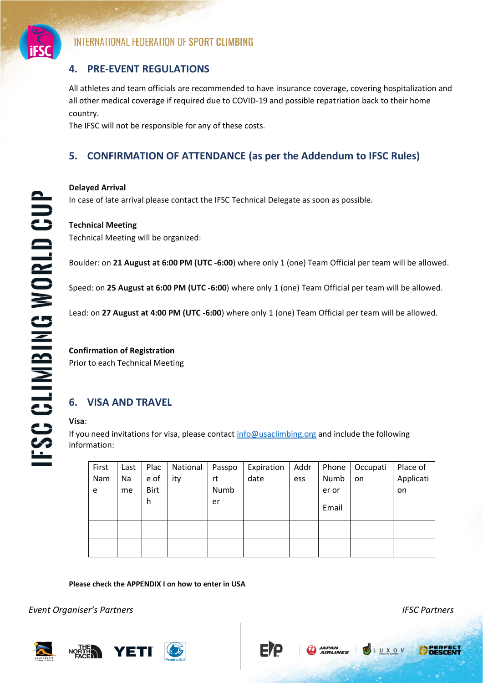

### **4. PRE-EVENT REGULATIONS**

All athletes and team officials are recommended to have insurance coverage, covering hospitalization and all other medical coverage if required due to COVID-19 and possible repatriation back to their home country.

The IFSC will not be responsible for any of these costs.

### **5. CONFIRMATION OF ATTENDANCE (as per the Addendum to IFSC Rules)**

### **Delayed Arrival**

In case of late arrival please contact the IFSC Technical Delegate as soon as possible.

### **Technical Meeting**

Technical Meeting will be organized:

Boulder: on **21 August at 6:00 PM (UTC -6:00**) where only 1 (one) Team Official per team will be allowed.

Speed: on **25 August at 6:00 PM (UTC -6:00**) where only 1 (one) Team Official per team will be allowed.

Lead: on **27 August at 4:00 PM (UTC -6:00**) where only 1 (one) Team Official per team will be allowed.

### **Confirmation of Registration**

Prior to each Technical Meeting

### **6. VISA AND TRAVEL**

### **Visa**:

If you need invitations for visa, please contact [info@usaclimbing.org](mailto:info@usaclimbing.org) and include the following information:

| First | Last | Plac        | National | Passpo | Expiration | Addr | Phone | Occupati | Place of  |
|-------|------|-------------|----------|--------|------------|------|-------|----------|-----------|
| Nam   | Na   | e of        | ity      | rt     | date       | ess  | Numb  | on       | Applicati |
| e     | me   | <b>Birt</b> |          | Numb   |            |      | er or |          | on        |
|       |      | h           |          | er     |            |      | Email |          |           |
|       |      |             |          |        |            |      |       |          |           |
|       |      |             |          |        |            |      |       |          |           |

**JAPAN**<br>**AIRLINES** 

### **Please check the APPENDIX I on how to enter in USA**

*ǀĞŶƚKƌŐĂŶŝƐĞƌ͛ƐWĂƌƚŶĞƌƐ IFSC Partners*

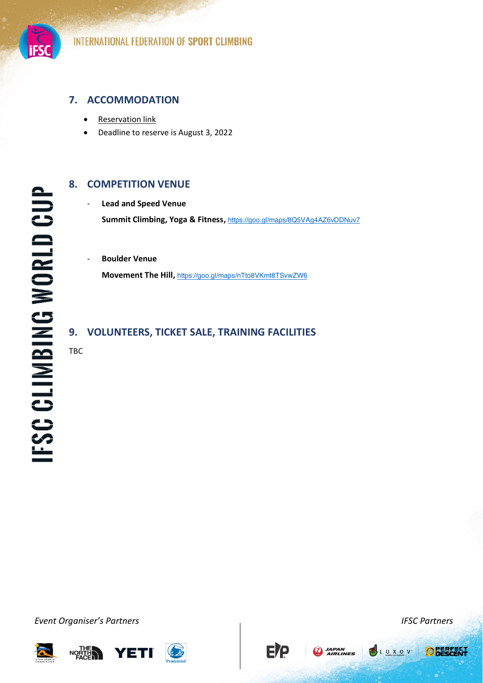

### **7. ACCOMMODATION**

- **[Reservation link](https://groups.reservetravel.com/group.aspx?id=58189)**
- Deadline to reserve is August 3, 2022

### **8. COMPETITION VENUE**

- **Lead and Speed Venue Summit Climbing, Yoga & Fitness,** <https://goo.gl/maps/8Q5VAg4AZ6vDDNuv7>

- **Boulder Venue Movement The Hill,** <https://goo.gl/maps/nTto8VKmt8TSvwZW6>

### **9. VOLUNTEERS, TICKET SALE, TRAINING FACILITIES**

TBC

*ǀĞŶƚKƌŐĂŶŝƐĞƌ͛ƐWĂƌƚŶĞƌƐ IFSC Partners*





**EIP** 





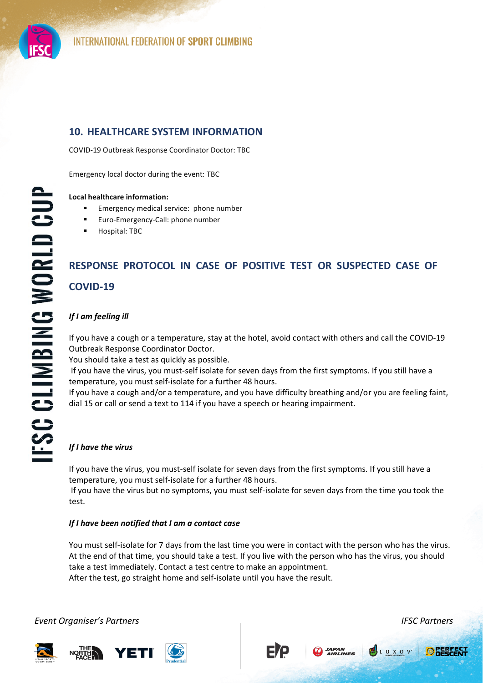

### **10. HEALTHCARE SYSTEM INFORMATION**

COVID-19 Outbreak Response Coordinator Doctor: TBC

Emergency local doctor during the event: TBC

### **Local healthcare information:**

- Emergency medical service: phone number
- Euro-Emergency-Call: phone number
- Hospital: TBC

### **RESPONSE PROTOCOL IN CASE OF POSITIVE TEST OR SUSPECTED CASE OF COVID-19**

### *If I am feeling ill*

If you have a cough or a temperature, stay at the hotel, avoid contact with others and call the COVID-19 Outbreak Response Coordinator Doctor.

You should take a test as quickly as possible.

If you have the virus, you must-self isolate for seven days from the first symptoms. If you still have a temperature, you must self-isolate for a further 48 hours.

If you have a cough and/or a temperature, and you have difficulty breathing and/or you are feeling faint, dial 15 or call or send a text to 114 if you have a speech or hearing impairment.

### *If I have the virus*

If you have the virus, you must-self isolate for seven days from the first symptoms. If you still have a temperature, you must self-isolate for a further 48 hours.

If you have the virus but no symptoms, you must self-isolate for seven days from the time you took the test.

### *If I have been notified that I am a contact case*

You must self-isolate for 7 days from the last time you were in contact with the person who has the virus. At the end of that time, you should take a test. If you live with the person who has the virus, you should take a test immediately. Contact a test centre to make an appointment. After the test, go straight home and self-isolate until you have the result.

### *ǀĞŶƚKƌŐĂŶŝƐĞƌ͛ƐWĂƌƚŶĞƌƐ IFSC Partners*





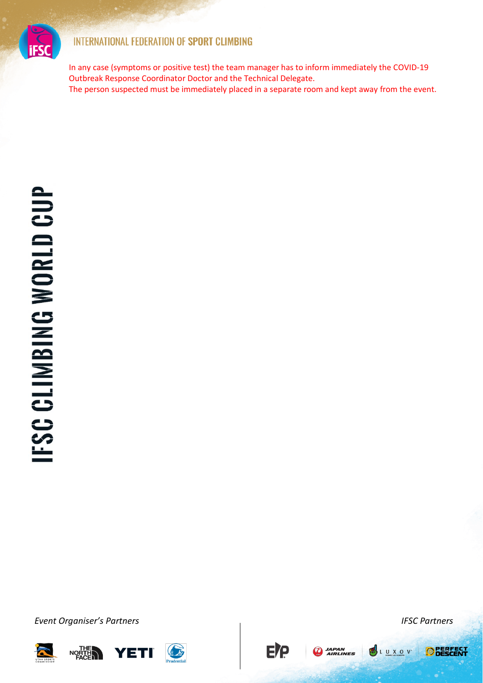

In any case (symptoms or positive test) the team manager has to inform immediately the COVID-19 Outbreak Response Coordinator Doctor and the Technical Delegate. The person suspected must be immediately placed in a separate room and kept away from the event.

*ǀĞŶƚKƌŐĂŶŝƐĞƌ͛ƐWĂƌƚŶĞƌƐ IFSC Partners*







**EJG** 

**A**<br>AIRLINES

LUXOV

**ODERFECT**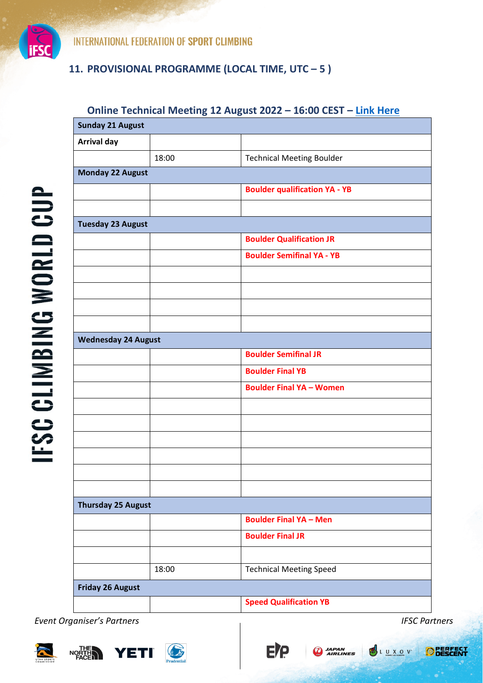

**IFSC CLIMBING WORLD CUP** 

**INTERNATIONAL FEDERATION OF SPORT CLIMBING** 

### **11. PROVISIONAL PROGRAMME (LOCAL TIME, UTC ʹ 5 )**

### **Online Technical Meeting 12 August 2022 - 16:00 CEST - [Link Here](https://teams.microsoft.com/l/meetup-join/19%3ameeting_MjQxNjc0ODAtNGNlZS00ODQ2LThhMjQtN2EzYzgyNWEzZDQw%40thread.v2/0?context=%7b%22Tid%22%3a%223390a9a2-7775-4b2e-ac37-a47c9bd39a59%22%2c%22Oid%22%3a%22a5c48ac6-5d15-484e-a4e7-d80f2199337d%22%7d)**

| <b>Sunday 21 August</b>    |       |                                      |  |  |  |  |
|----------------------------|-------|--------------------------------------|--|--|--|--|
| <b>Arrival day</b>         |       |                                      |  |  |  |  |
|                            | 18:00 | <b>Technical Meeting Boulder</b>     |  |  |  |  |
| <b>Monday 22 August</b>    |       |                                      |  |  |  |  |
|                            |       | <b>Boulder qualification YA - YB</b> |  |  |  |  |
|                            |       |                                      |  |  |  |  |
| <b>Tuesday 23 August</b>   |       |                                      |  |  |  |  |
|                            |       | <b>Boulder Qualification JR</b>      |  |  |  |  |
|                            |       | <b>Boulder Semifinal YA - YB</b>     |  |  |  |  |
|                            |       |                                      |  |  |  |  |
|                            |       |                                      |  |  |  |  |
|                            |       |                                      |  |  |  |  |
|                            |       |                                      |  |  |  |  |
| <b>Wednesday 24 August</b> |       |                                      |  |  |  |  |
|                            |       | <b>Boulder Semifinal JR</b>          |  |  |  |  |
|                            |       | <b>Boulder Final YB</b>              |  |  |  |  |
|                            |       | <b>Boulder Final YA - Women</b>      |  |  |  |  |
|                            |       |                                      |  |  |  |  |
|                            |       |                                      |  |  |  |  |
|                            |       |                                      |  |  |  |  |
|                            |       |                                      |  |  |  |  |
|                            |       |                                      |  |  |  |  |
|                            |       |                                      |  |  |  |  |
| <b>Thursday 25 August</b>  |       |                                      |  |  |  |  |
|                            |       | <b>Boulder Final YA - Men</b>        |  |  |  |  |
|                            |       | <b>Boulder Final JR</b>              |  |  |  |  |
|                            |       |                                      |  |  |  |  |
|                            | 18:00 | <b>Technical Meeting Speed</b>       |  |  |  |  |
| <b>Friday 26 August</b>    |       |                                      |  |  |  |  |
|                            |       | <b>Speed Qualification YB</b>        |  |  |  |  |

**EJG** 

**AN JAPAN**<br>AIRLINES

*ǀĞŶƚKƌŐĂŶŝƐĞƌ͛ƐWĂƌƚŶĞƌƐ IFSC Partners*

NORTH





**ODESCENT**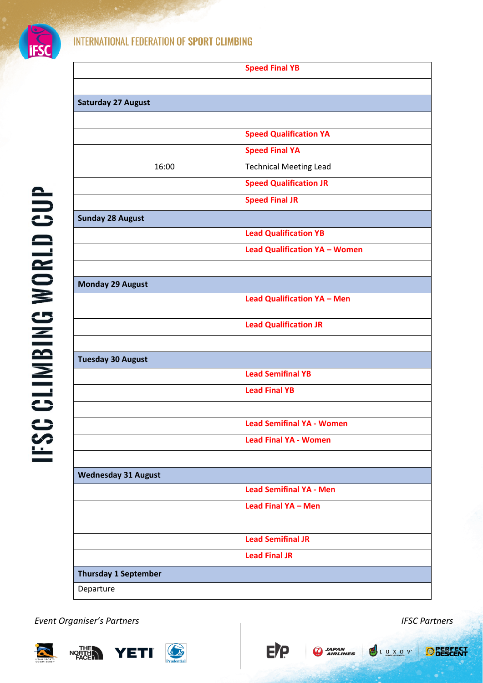

|                             |       | <b>Speed Final YB</b>                |  |  |  |  |
|-----------------------------|-------|--------------------------------------|--|--|--|--|
|                             |       |                                      |  |  |  |  |
| <b>Saturday 27 August</b>   |       |                                      |  |  |  |  |
|                             |       |                                      |  |  |  |  |
|                             |       | <b>Speed Qualification YA</b>        |  |  |  |  |
|                             |       | <b>Speed Final YA</b>                |  |  |  |  |
|                             | 16:00 | <b>Technical Meeting Lead</b>        |  |  |  |  |
|                             |       | <b>Speed Qualification JR</b>        |  |  |  |  |
|                             |       | <b>Speed Final JR</b>                |  |  |  |  |
| <b>Sunday 28 August</b>     |       |                                      |  |  |  |  |
|                             |       | <b>Lead Qualification YB</b>         |  |  |  |  |
|                             |       | <b>Lead Qualification YA - Women</b> |  |  |  |  |
|                             |       |                                      |  |  |  |  |
| <b>Monday 29 August</b>     |       |                                      |  |  |  |  |
|                             |       | <b>Lead Qualification YA - Men</b>   |  |  |  |  |
|                             |       | <b>Lead Qualification JR</b>         |  |  |  |  |
|                             |       |                                      |  |  |  |  |
| <b>Tuesday 30 August</b>    |       |                                      |  |  |  |  |
|                             |       | <b>Lead Semifinal YB</b>             |  |  |  |  |
|                             |       | <b>Lead Final YB</b>                 |  |  |  |  |
|                             |       |                                      |  |  |  |  |
|                             |       | <b>Lead Semifinal YA - Women</b>     |  |  |  |  |
|                             |       | <b>Lead Final YA - Women</b>         |  |  |  |  |
|                             |       |                                      |  |  |  |  |
| <b>Wednesday 31 August</b>  |       |                                      |  |  |  |  |
|                             |       | <b>Lead Semifinal YA - Men</b>       |  |  |  |  |
|                             |       | Lead Final YA - Men                  |  |  |  |  |
|                             |       |                                      |  |  |  |  |
|                             |       | <b>Lead Semifinal JR</b>             |  |  |  |  |
|                             |       | <b>Lead Final JR</b>                 |  |  |  |  |
| <b>Thursday 1 September</b> |       |                                      |  |  |  |  |
| Departure                   |       |                                      |  |  |  |  |

E/P

**ARAN**<br>AIRLINES

*ǀĞŶƚKƌŐĂŶŝƐĞƌ͛ƐWĂƌƚŶĞƌƐ IFSC Partners*







**ODERFECT**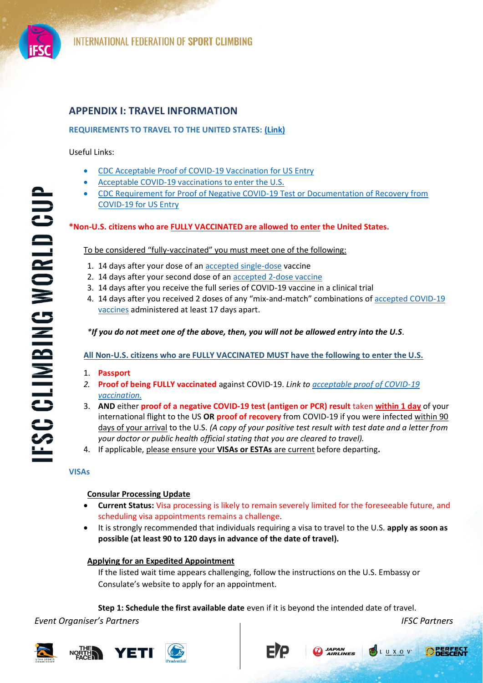

**FSC CLIMBING WORLD CUP** 

### **APPENDIX I: TRAVEL INFORMATION**

### **REQUIREMENTS TO TRAVEL TO THE UNITED STATES: [\(Link\)](https://www.cdc.gov/coronavirus/2019-ncov/travelers/proof-of-vaccination.html)**

Useful Links:

- [CDC Acceptable Proof of COVID-19 Vaccination for US Entry](https://www.cdc.gov/coronavirus/2019-ncov/travelers/proof-of-vaccination.html#vaccine-proof)
- [Acceptable COVID-19 vaccinations to enter the U.S.](https://www.cdc.gov/coronavirus/2019-ncov/travelers/proof-of-vaccination.html#covid-vaccines)
- x [CDC Requirement for Proof of Negative COVID-19 Test or Documentation of Recovery from](https://www.cdc.gov/coronavirus/2019-ncov/travelers/testing-international-air-travelers.html)  [COVID-19 for US Entry](https://www.cdc.gov/coronavirus/2019-ncov/travelers/testing-international-air-travelers.html)

### **\*Non-U.S. citizens who are FULLY VACCINATED are allowed to enter the United States.**

### To be considered "fully-vaccinated" you must meet one of the following:

- 1. 14 days after your dose of an [accepted single-dose](https://www.cdc.gov/coronavirus/2019-ncov/travelers/proof-of-vaccination.html#covid-vaccines) vaccine
- 2. 14 days after your second dose of an [accepted 2-dose vaccine](https://www.cdc.gov/coronavirus/2019-ncov/travelers/proof-of-vaccination.html#covid-vaccines)
- 3. 14 days after you receive the full series of COVID-19 vaccine in a clinical trial
- 4. 14 days after you received 2 doses of any "mix-and-match" combinations of accepted COVID-19 [vaccines](https://www.cdc.gov/coronavirus/2019-ncov/travelers/proof-of-vaccination.html#vaccine-proof) administered at least 17 days apart.

### *\*If you do not meet one of the above, then, you will not be allowed entry into the U.S.*

**All Non-U.S. citizens who are FULLY VACCINATED MUST have the following to enter the U.S.**

- 1. **Passport**
- *2.* **Proof of being FULLY vaccinated** against COVID-19. *Link to [acceptable proof of COVID-19](https://www.cdc.gov/coronavirus/2019-ncov/travelers/proof-of-vaccination.html#vaccine-proof)  [vaccination.](https://www.cdc.gov/coronavirus/2019-ncov/travelers/proof-of-vaccination.html#vaccine-proof)*
- 3. **AND** either **proof of a negative COVID-19 test (antigen or PCR) result** taken **within 1 day** of your international flight to the US **OR proof of recovery** from COVID-19 if you were infected within 90 days of your arrival to the U.S. *(A copy of your positive test result with test date and a letter from your doctor or public health official stating that you are cleared to travel).*
- 4. If applicable, please ensure your **VISAs or ESTAs** are current before departing**.**

### **VISAs**

### **Consular Processing Update**

- x **Current Status:** Visa processing is likely to remain severely limited for the foreseeable future, and scheduling visa appointments remains a challenge.
- It is strongly recommended that individuals requiring a visa to travel to the U.S. **apply as soon as possible (at least 90 to 120 days in advance of the date of travel).**

### **Applying for an Expedited Appointment**

If the listed wait time appears challenging, follow the instructions on the U.S. Embassy or Consulate's website to apply for an appointment.

**Step 1: Schedule the first available date** even if it is beyond the intended date of travel.

**APAN**<br>AIRLINES

*ǀĞŶƚKƌŐĂŶŝƐĞƌ͛ƐWĂƌƚŶĞƌƐ IFSC Partners*





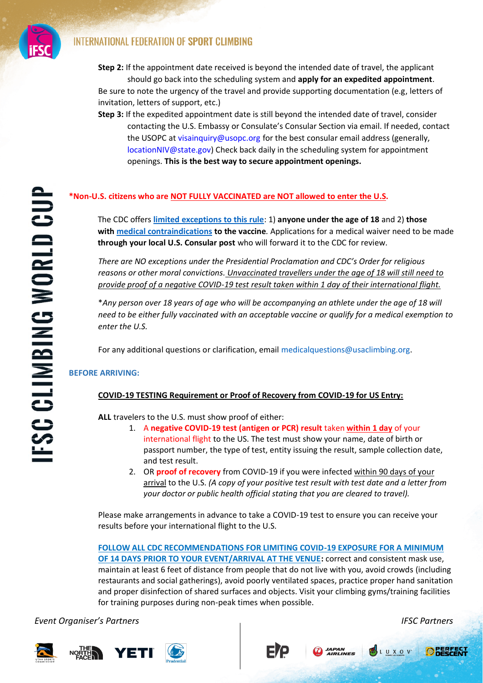

- **Step 2:** If the appointment date received is beyond the intended date of travel, the applicant should go back into the scheduling system and **apply for an expedited appointment**. Be sure to note the urgency of the travel and provide supporting documentation (e.g, letters of invitation, letters of support, etc.)
- **Step 3:** If the expedited appointment date is still beyond the intended date of travel, consider contacting the U.S. Embassy or Consulate's Consular Section via email. If needed, contact the USOPC at visainquiry@usopc.org for the best consular email address (generally, locationNIV@state.gov) Check back daily in the scheduling system for appointment openings. **This is the best way to secure appointment openings.**

### **\*Non-U.S. citizens who are NOT FULLY VACCINATED are NOT allowed to enter the U.S.**

The CDC offers **[limited exceptions to this rule](https://www.cdc.gov/coronavirus/2019-ncov/travelers/proof-of-vaccination.html#faq-exceptions)**: 1) **anyone under the age of 18** and 2) **those with [medical contraindications](https://www.cdc.gov/vaccines/covid-19/clinical-considerations/covid-19-vaccines-us.html#Contraindications) to the vaccine***.* Applications for a medical waiver need to be made **through your local U.S. Consular post** who will forward it to the CDC for review.

*There are NO exceptions under the Presidential Proclamation and CDC's Order for religious reasons or other moral convictions. Unvaccinated travellers under the age of 18 will still need to provide proof of a negative COVID-19 test result taken within 1 day of their international flight.*

\**Any person over 18 years of age who will be accompanying an athlete under the age of 18 will need to be either fully vaccinated with an acceptable vaccine or qualify for a medical exemption to enter the U.S.*

For any additional questions or clarification, email medicalquestions@usaclimbing.org.

### **BEFORE ARRIVING:**

### **COVID-19 TESTING Requirement or Proof of Recovery from COVID-19 for US Entry:**

**ALL** travelers to the U.S. must show proof of either:

- 1. A **negative COVID-19 test (antigen or PCR) result** taken **within 1 day** of your international flight to the US. The test must show your name, date of birth or passport number, the type of test, entity issuing the result, sample collection date, and test result.
- 2. OR **proof of recovery** from COVID-19 if you were infected within 90 days of your arrival to the U.S. *(A copy of your positive test result with test date and a letter from your doctor or public health official stating that you are cleared to travel).*

Please make arrangements in advance to take a COVID-19 test to ensure you can receive your results before your international flight to the U.S.

**FOLLOW ALL CDC RECOMMENDATIONS FOR LIMITING COVID-19 EXPOSURE FOR A MINIMUM OF 14 DAYS PRIOR TO YOUR EVENT/ARRIVAL AT THE VENUE:** correct and consistent mask use, maintain at least 6 feet of distance from people that do not live with you, avoid crowds (including restaurants and social gatherings), avoid poorly ventilated spaces, practice proper hand sanitation and proper disinfection of shared surfaces and objects. Visit your climbing gyms/training facilities for training purposes during non-peak times when possible.

**APAN**<br>AIRLINES

*ǀĞŶƚKƌŐĂŶŝƐĞƌ͛ƐWĂƌƚŶĞƌƐ IFSC Partners*